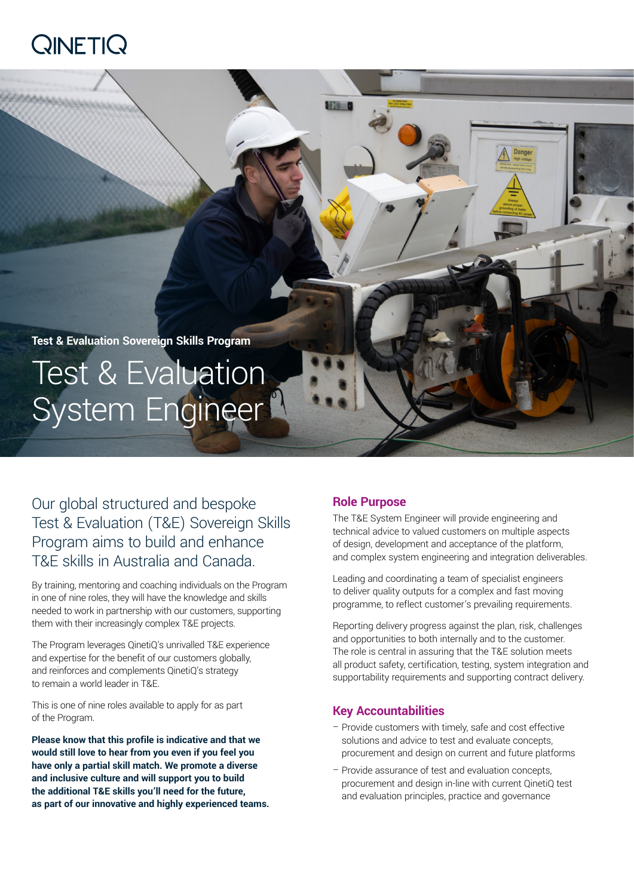## $Q$ INETI $Q$

# **Test & Evaluation Sovereign Skills Program** Test & Evaluation System Engineer

Our global structured and bespoke Test & Evaluation (T&E) Sovereign Skills Program aims to build and enhance T&E skills in Australia and Canada.

By training, mentoring and coaching individuals on the Program in one of nine roles, they will have the knowledge and skills needed to work in partnership with our customers, supporting them with their increasingly complex T&E projects.

The Program leverages QinetiQ's unrivalled T&E experience and expertise for the benefit of our customers globally, and reinforces and complements QinetiQ's strategy to remain a world leader in T&E.

This is one of nine roles available to apply for as part of the Program.

**Please know that this profile is indicative and that we would still love to hear from you even if you feel you have only a partial skill match. We promote a diverse and inclusive culture and will support you to build the additional T&E skills you'll need for the future, as part of our innovative and highly experienced teams.**

## **Role Purpose**

The T&E System Engineer will provide engineering and technical advice to valued customers on multiple aspects of design, development and acceptance of the platform, and complex system engineering and integration deliverables.

Leading and coordinating a team of specialist engineers to deliver quality outputs for a complex and fast moving programme, to reflect customer's prevailing requirements.

Reporting delivery progress against the plan, risk, challenges and opportunities to both internally and to the customer. The role is central in assuring that the T&E solution meets all product safety, certification, testing, system integration and supportability requirements and supporting contract delivery.

## **Key Accountabilities**

- Provide customers with timely, safe and cost effective solutions and advice to test and evaluate concepts, procurement and design on current and future platforms
- Provide assurance of test and evaluation concepts, procurement and design in-line with current QinetiQ test and evaluation principles, practice and governance